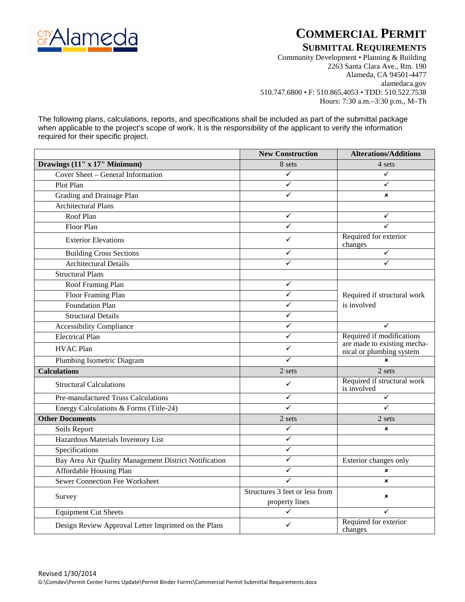

# **COMMERCIAL PERMIT**

### **SUBMITTAL REQUIREMENTS**

Community Development • Planning & Building 2263 Santa Clara Ave., Rm. 190 Alameda, CA 94501-4477 alamedaca.gov 510.747.6800 • F: 510.865.4053 • TDD: 510.522.7538 Hours: 7:30 a.m.–3:30 p.m., M–Th

The following plans, calculations, reports, and specifications shall be included as part of the submittal package when applicable to the project's scope of work. It is the responsibility of the applicant to verify the information required for their specific project.

|                                                       | <b>New Construction</b>                          | <b>Alterations/Additions</b>                            |  |
|-------------------------------------------------------|--------------------------------------------------|---------------------------------------------------------|--|
| Drawings (11" x 17" Minimum)                          | 8 sets                                           | 4 sets                                                  |  |
| Cover Sheet - General Information                     | ✓                                                | ✓                                                       |  |
| Plot Plan                                             | ✓                                                |                                                         |  |
| Grading and Drainage Plan                             | ✓                                                | $\mathbf x$                                             |  |
| <b>Architectural Plans</b>                            |                                                  |                                                         |  |
| Roof Plan                                             | $\checkmark$                                     | ✓                                                       |  |
| Floor Plan                                            | ✓                                                | ✓                                                       |  |
| <b>Exterior Elevations</b>                            | ✓                                                | Required for exterior<br>changes                        |  |
| <b>Building Cross Sections</b>                        | ✓                                                | $\checkmark$                                            |  |
| <b>Architectural Details</b>                          | ✓                                                | ✓                                                       |  |
| <b>Structural Plans</b>                               |                                                  |                                                         |  |
| Roof Framing Plan                                     | $\checkmark$                                     |                                                         |  |
| Floor Framing Plan                                    | $\checkmark$                                     | Required if structural work                             |  |
| <b>Foundation Plan</b>                                | ✓                                                | is involved                                             |  |
| <b>Structural Details</b>                             | ✓                                                |                                                         |  |
| <b>Accessibility Compliance</b>                       | ✓                                                | ✓                                                       |  |
| <b>Electrical Plan</b>                                | $\checkmark$                                     | Required if modifications                               |  |
| <b>HVAC Plan</b>                                      | ✓                                                | are made to existing mecha-<br>nical or plumbing system |  |
| Plumbing Isometric Diagram                            | ✓                                                | $\mathbf x$                                             |  |
| <b>Calculations</b>                                   | 2 sets                                           | 2 sets                                                  |  |
| <b>Structural Calculations</b>                        | ✓                                                | Required if structural work<br>is involved              |  |
| Pre-manufactured Truss Calculations                   | $\checkmark$                                     | ✓                                                       |  |
| Energy Calculations & Forms (Title-24)                | ✓                                                |                                                         |  |
| <b>Other Documents</b>                                | 2 sets                                           | 2 sets                                                  |  |
| Soils Report                                          | $\checkmark$                                     | $\boldsymbol{\mathsf{x}}$                               |  |
| Hazardous Materials Inventory List                    | $\checkmark$                                     |                                                         |  |
| Specifications                                        | $\checkmark$                                     |                                                         |  |
| Bay Area Air Quality Management District Notification | $\checkmark$                                     | Exterior changes only                                   |  |
| Affordable Housing Plan                               | ✓                                                | $\pmb{\times}$                                          |  |
| <b>Sewer Connection Fee Worksheet</b>                 | ✓                                                | $\mathbf x$                                             |  |
| Survey                                                | Structures 3 feet or less from<br>property lines | $\mathbf x$                                             |  |
| <b>Equipment Cut Sheets</b>                           | ✓                                                | ✓                                                       |  |
| Design Review Approval Letter Imprinted on the Plans  | ✓                                                | Required for exterior<br>changes                        |  |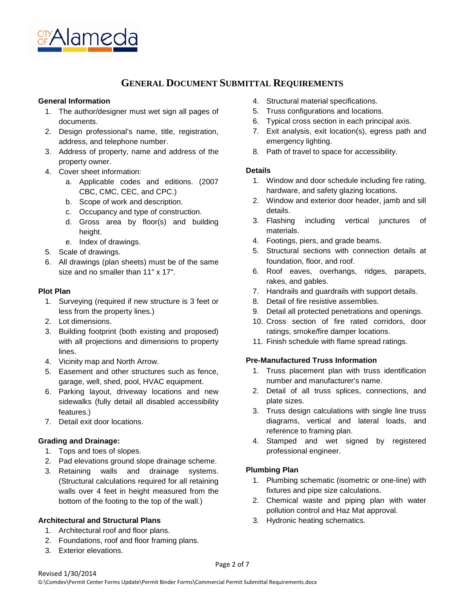

### **GENERAL DOCUMENT SUBMITTAL REQUIREMENTS**

#### **General Information**

- 1. The author/designer must wet sign all pages of documents.
- 2. Design professional's name, title, registration, address, and telephone number.
- 3. Address of property, name and address of the property owner.
- 4. Cover sheet information:
	- a. Applicable codes and editions. (2007 CBC, CMC, CEC, and CPC.)
	- b. Scope of work and description.
	- c. Occupancy and type of construction.
	- d. Gross area by floor(s) and building height.
	- e. Index of drawings.
- 5. Scale of drawings.
- 6. All drawings (plan sheets) must be of the same size and no smaller than 11" x 17".

#### **Plot Plan**

- 1. Surveying (required if new structure is 3 feet or less from the property lines.)
- 2. Lot dimensions.
- 3. Building footprint (both existing and proposed) with all projections and dimensions to property lines.
- 4. Vicinity map and North Arrow.
- 5. Easement and other structures such as fence, garage, well, shed, pool, HVAC equipment.
- 6. Parking layout, driveway locations and new sidewalks (fully detail all disabled accessibility features.)
- 7. Detail exit door locations.

#### **Grading and Drainage:**

- 1. Tops and toes of slopes.
- 2. Pad elevations ground slope drainage scheme.
- 3. Retaining walls and drainage systems. (Structural calculations required for all retaining walls over 4 feet in height measured from the bottom of the footing to the top of the wall.)

#### **Architectural and Structural Plans**

- 1. Architectural roof and floor plans.
- 2. Foundations, roof and floor framing plans.
- 3. Exterior elevations.
- 4. Structural material specifications.
- 5. Truss configurations and locations.
- 6. Typical cross section in each principal axis.
- 7. Exit analysis, exit location(s), egress path and emergency lighting.
- 8. Path of travel to space for accessibility.

#### **Details**

- 1. Window and door schedule including fire rating, hardware, and safety glazing locations.
- 2. Window and exterior door header, jamb and sill details.
- 3. Flashing including vertical junctures of materials.
- 4. Footings, piers, and grade beams.
- 5. Structural sections with connection details at foundation, floor, and roof.
- 6. Roof eaves, overhangs, ridges, parapets, rakes, and gables.
- 7. Handrails and guardrails with support details.
- 8. Detail of fire resistive assemblies.
- 9. Detail all protected penetrations and openings.
- 10. Cross section of fire rated corridors, door ratings, smoke/fire damper locations.
- 11. Finish schedule with flame spread ratings.

#### **Pre-Manufactured Truss Information**

- 1. Truss placement plan with truss identification number and manufacturer's name.
- 2. Detail of all truss splices, connections, and plate sizes.
- 3. Truss design calculations with single line truss diagrams, vertical and lateral loads, and reference to framing plan.
- 4. Stamped and wet signed by registered professional engineer.

#### **Plumbing Plan**

- 1. Plumbing schematic (isometric or one-line) with fixtures and pipe size calculations.
- 2. Chemical waste and piping plan with water pollution control and Haz Mat approval.
- 3. Hydronic heating schematics.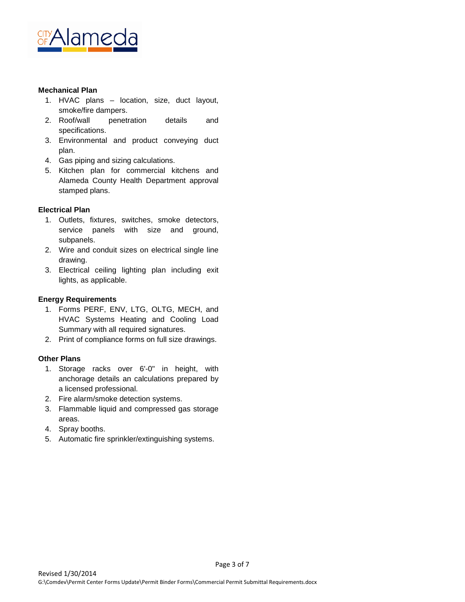

#### **Mechanical Plan**

- 1. HVAC plans location, size, duct layout, smoke/fire dampers.
- 2. Roof/wall penetration details and specifications.
- 3. Environmental and product conveying duct plan.
- 4. Gas piping and sizing calculations.
- 5. Kitchen plan for commercial kitchens and Alameda County Health Department approval stamped plans.

#### **Electrical Plan**

- 1. Outlets, fixtures, switches, smoke detectors, service panels with size and ground, subpanels.
- 2. Wire and conduit sizes on electrical single line drawing.
- 3. Electrical ceiling lighting plan including exit lights, as applicable.

#### **Energy Requirements**

- 1. Forms PERF, ENV, LTG, OLTG, MECH, and HVAC Systems Heating and Cooling Load Summary with all required signatures.
- 2. Print of compliance forms on full size drawings.

#### **Other Plans**

- 1. Storage racks over 6'-0" in height, with anchorage details an calculations prepared by a licensed professional.
- 2. Fire alarm/smoke detection systems.
- 3. Flammable liquid and compressed gas storage areas.
- 4. Spray booths.
- 5. Automatic fire sprinkler/extinguishing systems.

Page 3 of 7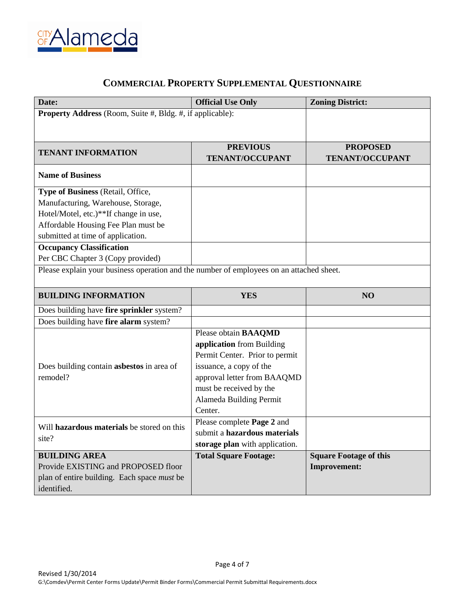

## **COMMERCIAL PROPERTY SUPPLEMENTAL QUESTIONNAIRE**

| Date:                                                                                    | <b>Official Use Only</b>       | <b>Zoning District:</b>       |  |
|------------------------------------------------------------------------------------------|--------------------------------|-------------------------------|--|
| Property Address (Room, Suite #, Bldg. #, if applicable):                                |                                |                               |  |
|                                                                                          |                                |                               |  |
|                                                                                          |                                |                               |  |
| <b>TENANT INFORMATION</b>                                                                | <b>PREVIOUS</b>                | <b>PROPOSED</b>               |  |
|                                                                                          | <b>TENANT/OCCUPANT</b>         | <b>TENANT/OCCUPANT</b>        |  |
| <b>Name of Business</b>                                                                  |                                |                               |  |
| Type of Business (Retail, Office,                                                        |                                |                               |  |
| Manufacturing, Warehouse, Storage,                                                       |                                |                               |  |
| Hotel/Motel, etc.)**If change in use,                                                    |                                |                               |  |
| Affordable Housing Fee Plan must be                                                      |                                |                               |  |
| submitted at time of application.                                                        |                                |                               |  |
| <b>Occupancy Classification</b>                                                          |                                |                               |  |
| Per CBC Chapter 3 (Copy provided)                                                        |                                |                               |  |
| Please explain your business operation and the number of employees on an attached sheet. |                                |                               |  |
|                                                                                          |                                |                               |  |
| <b>BUILDING INFORMATION</b>                                                              | <b>YES</b>                     | NO                            |  |
| Does building have fire sprinkler system?                                                |                                |                               |  |
| Does building have fire alarm system?                                                    |                                |                               |  |
|                                                                                          | Please obtain BAAQMD           |                               |  |
|                                                                                          | application from Building      |                               |  |
|                                                                                          | Permit Center. Prior to permit |                               |  |
| Does building contain asbestos in area of                                                | issuance, a copy of the        |                               |  |
| remodel?                                                                                 | approval letter from BAAQMD    |                               |  |
|                                                                                          | must be received by the        |                               |  |
|                                                                                          | Alameda Building Permit        |                               |  |
|                                                                                          | Center.                        |                               |  |
| Will hazardous materials be stored on this                                               | Please complete Page 2 and     |                               |  |
|                                                                                          | submit a hazardous materials   |                               |  |
| site?                                                                                    | storage plan with application. |                               |  |
| <b>BUILDING AREA</b>                                                                     | <b>Total Square Footage:</b>   | <b>Square Footage of this</b> |  |
| Provide EXISTING and PROPOSED floor                                                      |                                | <b>Improvement:</b>           |  |
| plan of entire building. Each space must be                                              |                                |                               |  |
| identified.                                                                              |                                |                               |  |

Page 4 of 7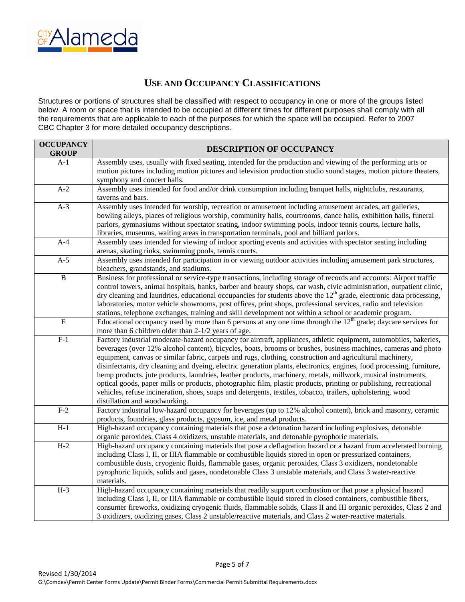

## **USE AND OCCUPANCY CLASSIFICATIONS**

Structures or portions of structures shall be classified with respect to occupancy in one or more of the groups listed below. A room or space that is intended to be occupied at different times for different purposes shall comply with all the requirements that are applicable to each of the purposes for which the space will be occupied. Refer to 2007 CBC Chapter 3 for more detailed occupancy descriptions.

| <b>OCCUPANCY</b><br><b>GROUP</b> | DESCRIPTION OF OCCUPANCY                                                                                                                                                                                                                                                                                                                                                                                                                                                                                                                                                                                                                                                                                                                                                                                                                                       |
|----------------------------------|----------------------------------------------------------------------------------------------------------------------------------------------------------------------------------------------------------------------------------------------------------------------------------------------------------------------------------------------------------------------------------------------------------------------------------------------------------------------------------------------------------------------------------------------------------------------------------------------------------------------------------------------------------------------------------------------------------------------------------------------------------------------------------------------------------------------------------------------------------------|
| A-1                              | Assembly uses, usually with fixed seating, intended for the production and viewing of the performing arts or<br>motion pictures including motion pictures and television production studio sound stages, motion picture theaters,<br>symphony and concert halls.                                                                                                                                                                                                                                                                                                                                                                                                                                                                                                                                                                                               |
| $A-2$                            | Assembly uses intended for food and/or drink consumption including banquet halls, nightclubs, restaurants,<br>taverns and bars.                                                                                                                                                                                                                                                                                                                                                                                                                                                                                                                                                                                                                                                                                                                                |
| $A-3$                            | Assembly uses intended for worship, recreation or amusement including amusement arcades, art galleries,<br>bowling alleys, places of religious worship, community halls, courtrooms, dance halls, exhibition halls, funeral<br>parlors, gymnasiums without spectator seating, indoor swimming pools, indoor tennis courts, lecture halls,<br>libraries, museums, waiting areas in transportation terminals, pool and billiard parlors.                                                                                                                                                                                                                                                                                                                                                                                                                         |
| $A-4$                            | Assembly uses intended for viewing of indoor sporting events and activities with spectator seating including<br>arenas, skating rinks, swimming pools, tennis courts.                                                                                                                                                                                                                                                                                                                                                                                                                                                                                                                                                                                                                                                                                          |
| $A-5$                            | Assembly uses intended for participation in or viewing outdoor activities including amusement park structures,<br>bleachers, grandstands, and stadiums.                                                                                                                                                                                                                                                                                                                                                                                                                                                                                                                                                                                                                                                                                                        |
| $\overline{B}$                   | Business for professional or service-type transactions, including storage of records and accounts: Airport traffic<br>control towers, animal hospitals, banks, barber and beauty shops, car wash, civic administration, outpatient clinic,<br>dry cleaning and laundries, educational occupancies for students above the $12th$ grade, electronic data processing,<br>laboratories, motor vehicle showrooms, post offices, print shops, professional services, radio and television<br>stations, telephone exchanges, training and skill development not within a school or academic program.                                                                                                                                                                                                                                                                  |
| $\overline{E}$                   | Educational occupancy used by more than 6 persons at any one time through the $12th$ grade; daycare services for<br>more than 6 children older than 2-1/2 years of age.                                                                                                                                                                                                                                                                                                                                                                                                                                                                                                                                                                                                                                                                                        |
| $F-1$                            | Factory industrial moderate-hazard occupancy for aircraft, appliances, athletic equipment, automobiles, bakeries,<br>beverages (over 12% alcohol content), bicycles, boats, brooms or brushes, business machines, cameras and photo<br>equipment, canvas or similar fabric, carpets and rugs, clothing, construction and agricultural machinery,<br>disinfectants, dry cleaning and dyeing, electric generation plants, electronics, engines, food processing, furniture,<br>hemp products, jute products, laundries, leather products, machinery, metals, millwork, musical instruments,<br>optical goods, paper mills or products, photographic film, plastic products, printing or publishing, recreational<br>vehicles, refuse incineration, shoes, soaps and detergents, textiles, tobacco, trailers, upholstering, wood<br>distillation and woodworking. |
| $F-2$                            | Factory industrial low-hazard occupancy for beverages (up to 12% alcohol content), brick and masonry, ceramic<br>products, foundries, glass products, gypsum, ice, and metal products.                                                                                                                                                                                                                                                                                                                                                                                                                                                                                                                                                                                                                                                                         |
| $H-1$                            | High-hazard occupancy containing materials that pose a detonation hazard including explosives, detonable<br>organic peroxides, Class 4 oxidizers, unstable materials, and detonable pyrophoric materials.                                                                                                                                                                                                                                                                                                                                                                                                                                                                                                                                                                                                                                                      |
| $H-2$                            | High-hazard occupancy containing materials that pose a deflagration hazard or a hazard from accelerated burning<br>including Class I, II, or IIIA flammable or combustible liquids stored in open or pressurized containers,<br>combustible dusts, cryogenic fluids, flammable gases, organic peroxides, Class 3 oxidizers, nondetonable<br>pyrophoric liquids, solids and gases, nondetonable Class 3 unstable materials, and Class 3 water-reactive<br>materials.                                                                                                                                                                                                                                                                                                                                                                                            |
| $H-3$                            | High-hazard occupancy containing materials that readily support combustion or that pose a physical hazard<br>including Class I, II, or IIIA flammable or combustible liquid stored in closed containers, combustible fibers,<br>consumer fireworks, oxidizing cryogenic fluids, flammable solids, Class II and III organic peroxides, Class 2 and<br>3 oxidizers, oxidizing gases, Class 2 unstable/reactive materials, and Class 2 water-reactive materials.                                                                                                                                                                                                                                                                                                                                                                                                  |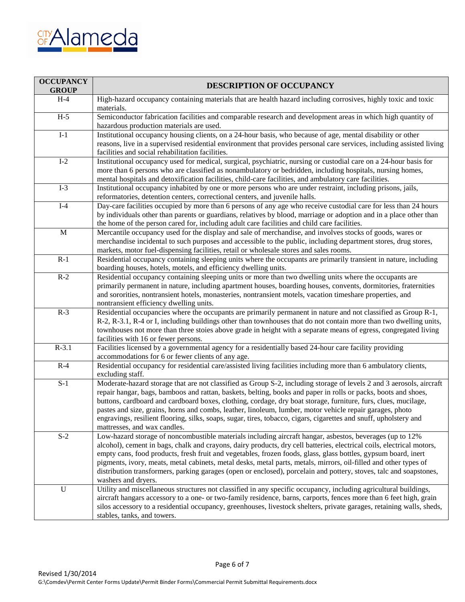

| <b>OCCUPANCY</b><br><b>GROUP</b> | DESCRIPTION OF OCCUPANCY                                                                                                                                                                                                                                                                                                                                                                                                                                                                                                                                                                                                  |
|----------------------------------|---------------------------------------------------------------------------------------------------------------------------------------------------------------------------------------------------------------------------------------------------------------------------------------------------------------------------------------------------------------------------------------------------------------------------------------------------------------------------------------------------------------------------------------------------------------------------------------------------------------------------|
| $H-4$                            | High-hazard occupancy containing materials that are health hazard including corrosives, highly toxic and toxic<br>materials.                                                                                                                                                                                                                                                                                                                                                                                                                                                                                              |
| $H-5$                            | Semiconductor fabrication facilities and comparable research and development areas in which high quantity of<br>hazardous production materials are used.                                                                                                                                                                                                                                                                                                                                                                                                                                                                  |
| $I-1$                            | Institutional occupancy housing clients, on a 24-hour basis, who because of age, mental disability or other<br>reasons, live in a supervised residential environment that provides personal care services, including assisted living<br>facilities and social rehabilitation facilities.                                                                                                                                                                                                                                                                                                                                  |
| $I-2$                            | Institutional occupancy used for medical, surgical, psychiatric, nursing or custodial care on a 24-hour basis for<br>more than 6 persons who are classified as nonambulatory or bedridden, including hospitals, nursing homes,<br>mental hospitals and detoxification facilities, child-care facilities, and ambulatory care facilities.                                                                                                                                                                                                                                                                                  |
| $I-3$                            | Institutional occupancy inhabited by one or more persons who are under restraint, including prisons, jails,<br>reformatories, detention centers, correctional centers, and juvenile halls.                                                                                                                                                                                                                                                                                                                                                                                                                                |
| $I-4$                            | Day-care facilities occupied by more than 6 persons of any age who receive custodial care for less than 24 hours<br>by individuals other than parents or guardians, relatives by blood, marriage or adoption and in a place other than<br>the home of the person cared for, including adult care facilities and child care facilities.                                                                                                                                                                                                                                                                                    |
| $\mathbf{M}$                     | Mercantile occupancy used for the display and sale of merchandise, and involves stocks of goods, wares or<br>merchandise incidental to such purposes and accessible to the public, including department stores, drug stores,<br>markets, motor fuel-dispensing facilities, retail or wholesale stores and sales rooms.                                                                                                                                                                                                                                                                                                    |
| $R-1$                            | Residential occupancy containing sleeping units where the occupants are primarily transient in nature, including<br>boarding houses, hotels, motels, and efficiency dwelling units.                                                                                                                                                                                                                                                                                                                                                                                                                                       |
| $R-2$                            | Residential occupancy containing sleeping units or more than two dwelling units where the occupants are<br>primarily permanent in nature, including apartment houses, boarding houses, convents, dormitories, fraternities<br>and sororities, nontransient hotels, monasteries, nontransient motels, vacation timeshare properties, and<br>nontransient efficiency dwelling units.                                                                                                                                                                                                                                        |
| $R-3$                            | Residential occupancies where the occupants are primarily permanent in nature and not classified as Group R-1,<br>R-2, R-3.1, R-4 or I, including buildings other than townhouses that do not contain more than two dwelling units,<br>townhouses not more than three stoies above grade in height with a separate means of egress, congregated living<br>facilities with 16 or fewer persons.                                                                                                                                                                                                                            |
| $R-3.1$                          | Facilities licensed by a governmental agency for a residentially based 24-hour care facility providing<br>accommodations for 6 or fewer clients of any age.                                                                                                                                                                                                                                                                                                                                                                                                                                                               |
| $R-4$                            | Residential occupancy for residential care/assisted living facilities including more than 6 ambulatory clients,<br>excluding staff.                                                                                                                                                                                                                                                                                                                                                                                                                                                                                       |
| $S-1$                            | Moderate-hazard storage that are not classified as Group S-2, including storage of levels 2 and 3 aerosols, aircraft<br>repair hangar, bags, bamboos and rattan, baskets, belting, books and paper in rolls or packs, boots and shoes,<br>buttons, cardboard and cardboard boxes, clothing, cordage, dry boat storage, furniture, furs, clues, mucilage,<br>pastes and size, grains, horns and combs, leather, linoleum, lumber, motor vehicle repair garages, photo<br>engravings, resilient flooring, silks, soaps, sugar, tires, tobacco, cigars, cigarettes and snuff, upholstery and<br>mattresses, and wax candles. |
| $S-2$                            | Low-hazard storage of noncombustible materials including aircraft hangar, asbestos, beverages (up to 12%)<br>alcohol), cement in bags, chalk and crayons, dairy products, dry cell batteries, electrical coils, electrical motors,<br>empty cans, food products, fresh fruit and vegetables, frozen foods, glass, glass bottles, gypsum board, inert<br>pigments, ivory, meats, metal cabinets, metal desks, metal parts, metals, mirrors, oil-filled and other types of<br>distribution transformers, parking garages (open or enclosed), porcelain and pottery, stoves, talc and soapstones,<br>washers and dryers.     |
| $\mathbf U$                      | Utility and miscellaneous structures not classified in any specific occupancy, including agricultural buildings,<br>aircraft hangars accessory to a one- or two-family residence, barns, carports, fences more than 6 feet high, grain<br>silos accessory to a residential occupancy, greenhouses, livestock shelters, private garages, retaining walls, sheds,<br>stables, tanks, and towers.                                                                                                                                                                                                                            |

Page 6 of 7